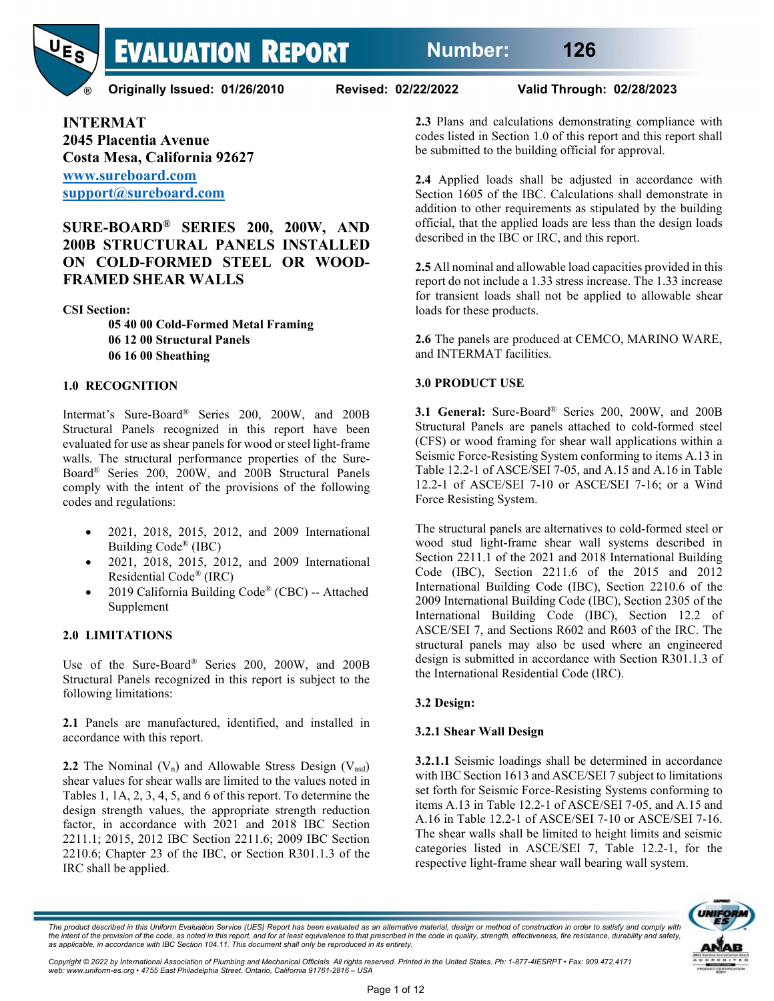

**Originally Issued: 01/26/2010 Revised: 02/22/2022 Valid Through: 02/28/2023**

**INTERMAT 2045 Placentia Avenue Costa Mesa, California 92627 [www.sureboard.com](http://www.sureboard.com/) [support@sureboard.com](mailto:support@sureboard.com)**

# **SURE-BOARD® SERIES 200, 200W, AND 200B STRUCTURAL PANELS INSTALLED ON COLD-FORMED STEEL OR WOOD-FRAMED SHEAR WALLS**

**CSI Section:**

**05 40 00 Cold-Formed Metal Framing 06 12 00 Structural Panels 06 16 00 Sheathing**

# **1.0 RECOGNITION**

Intermat's Sure-Board® Series 200, 200W, and 200B Structural Panels recognized in this report have been evaluated for use as shear panels for wood or steel light-frame walls. The structural performance properties of the Sure-Board® Series 200, 200W, and 200B Structural Panels comply with the intent of the provisions of the following codes and regulations:

- 2021, 2018, 2015, 2012, and 2009 International Building Code® (IBC)
- 2021, 2018, 2015, 2012, and 2009 International Residential Code® (IRC)
- 2019 California Building Code® (CBC) -- Attached Supplement

# **2.0 LIMITATIONS**

Use of the Sure-Board® Series 200, 200W, and 200B Structural Panels recognized in this report is subject to the following limitations:

**2.1** Panels are manufactured, identified, and installed in accordance with this report.

**2.2** The Nominal  $(V_n)$  and Allowable Stress Design  $(V_{\text{asd}})$ shear values for shear walls are limited to the values noted in Tables 1, 1A, 2, 3, 4, 5, and 6 of this report. To determine the design strength values, the appropriate strength reduction factor, in accordance with 2021 and 2018 IBC Section 2211.1; 2015, 2012 IBC Section 2211.6; 2009 IBC Section 2210.6; Chapter 23 of the IBC, or Section R301.1.3 of the IRC shall be applied.

**2.3** Plans and calculations demonstrating compliance with codes listed in Section 1.0 of this report and this report shall be submitted to the building official for approval.

**2.4** Applied loads shall be adjusted in accordance with Section 1605 of the IBC. Calculations shall demonstrate in addition to other requirements as stipulated by the building official, that the applied loads are less than the design loads described in the IBC or IRC, and this report.

**2.5** All nominal and allowable load capacities provided in this report do not include a 1.33 stress increase. The 1.33 increase for transient loads shall not be applied to allowable shear loads for these products.

**2.6** The panels are produced at CEMCO, MARINO WARE, and INTERMAT facilities.

# **3.0 PRODUCT USE**

**3.1 General:** Sure-Board® Series 200, 200W, and 200B Structural Panels are panels attached to cold-formed steel (CFS) or wood framing for shear wall applications within a Seismic Force-Resisting System conforming to items A.13 in Table 12.2-1 of ASCE/SEI 7-05, and A.15 and A.16 in Table 12.2-1 of ASCE/SEI 7-10 or ASCE/SEI 7-16; or a Wind Force Resisting System.

The structural panels are alternatives to cold-formed steel or wood stud light-frame shear wall systems described in Section 2211.1 of the 2021 and 2018 International Building Code (IBC), Section 2211.6 of the 2015 and 2012 International Building Code (IBC), Section 2210.6 of the 2009 International Building Code (IBC), Section 2305 of the International Building Code (IBC), Section 12.2 of ASCE/SEI 7, and Sections R602 and R603 of the IRC. The structural panels may also be used where an engineered design is submitted in accordance with Section R301.1.3 of the International Residential Code (IRC).

# **3.2 Design:**

# **3.2.1 Shear Wall Design**

**3.2.1.1** Seismic loadings shall be determined in accordance with IBC Section 1613 and ASCE/SEI 7 subject to limitations set forth for Seismic Force-Resisting Systems conforming to items A.13 in Table 12.2-1 of ASCE/SEI 7-05, and A.15 and A.16 in Table 12.2-1 of ASCE/SEI 7-10 or ASCE/SEI 7-16. The shear walls shall be limited to height limits and seismic categories listed in ASCE/SEI 7, Table 12.2-1, for the respective light-frame shear wall bearing wall system.



The product described in this Uniform Evaluation Service (UES) Report has been evaluated as an alternative material, design or method of construction in order to satisfy and comply with the intent of the provision of the code, as noted in this report, and for at least equivalence to that prescribed in the code in quality, strength, effectiveness, fire resistance, durability and safety,<br>as applicable, in a

*Copyright © 2022 by International Association of Plumbing and Mechanical Officials. All rights reserved. Printed in the United States. Ph: 1-877-4IESRPT • Fax: 909.472.4171 web: www.uniform-es.org • 4755 East Philadelphia Street, Ontario, California 91761-2816 – USA*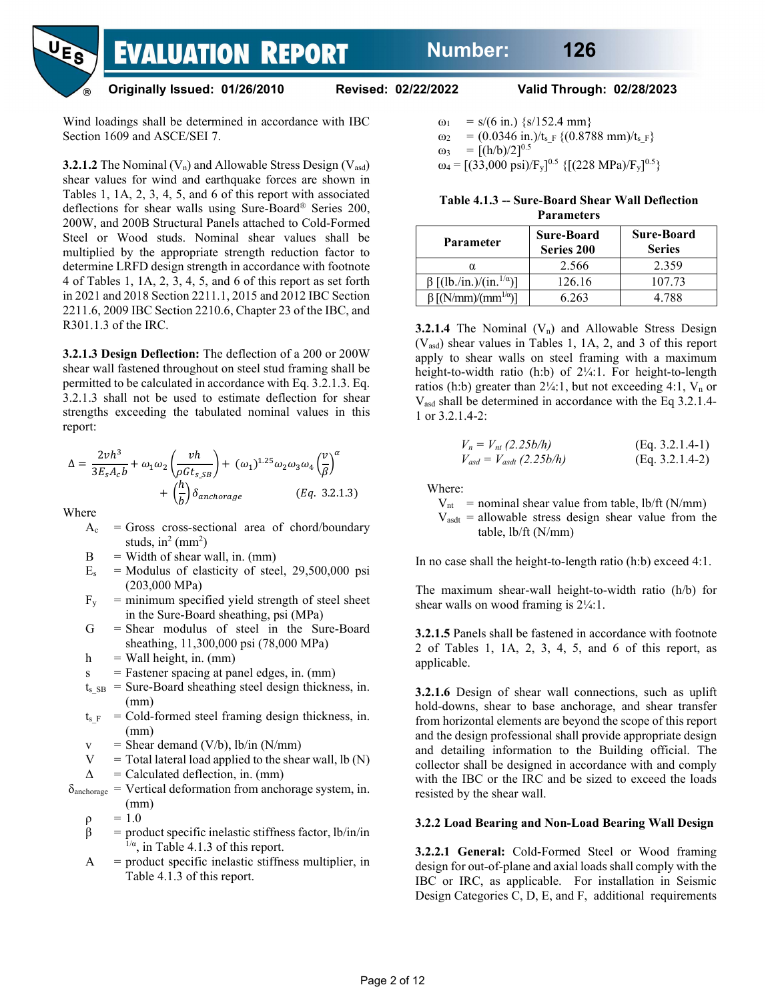# **Number: 126**



UE<sub>S</sub>

**Originally Issued: 01/26/2010 Revised: 02/22/2022 Valid Through: 02/28/2023**

Wind loadings shall be determined in accordance with IBC Section 1609 and ASCE/SEI 7.

**3.2.1.2** The Nominal  $(V_n)$  and Allowable Stress Design  $(V_{\text{asd}})$ shear values for wind and earthquake forces are shown in Tables 1, 1A, 2, 3, 4, 5, and 6 of this report with associated deflections for shear walls using Sure-Board® Series 200, 200W, and 200B Structural Panels attached to Cold-Formed Steel or Wood studs. Nominal shear values shall be multiplied by the appropriate strength reduction factor to determine LRFD design strength in accordance with footnote 4 of Tables 1, 1A, 2, 3, 4, 5, and 6 of this report as set forth in 2021 and 2018 Section 2211.1, 2015 and 2012 IBC Section 2211.6, 2009 IBC Section 2210.6, Chapter 23 of the IBC, and R301.1.3 of the IRC.

**3.2.1.3 Design Deflection:** The deflection of a 200 or 200W shear wall fastened throughout on steel stud framing shall be permitted to be calculated in accordance with Eq. 3.2.1.3. Eq. 3.2.1.3 shall not be used to estimate deflection for shear strengths exceeding the tabulated nominal values in this report:

$$
\Delta = \frac{2vh^3}{3E_sA_cb} + \omega_1\omega_2 \left(\frac{vh}{\rho Gt_{s,SB}}\right) + (\omega_1)^{1.25}\omega_2\omega_3\omega_4 \left(\frac{v}{\beta}\right)^{\alpha} + \left(\frac{h}{b}\right)\delta_{anchorage}
$$
 (Eq. 3.2.1.3)

Where

- $A_c$  = Gross cross-sectional area of chord/boundary studs, in<sup>2</sup> (mm<sup>2</sup>)
- $B =$  Width of shear wall, in. (mm)
- $E<sub>s</sub>$  = Modulus of elasticity of steel, 29,500,000 psi (203,000 MPa)
- $F_y$  = minimum specified yield strength of steel sheet in the Sure‐Board sheathing, psi (MPa)
- G = Shear modulus of steel in the Sure‐Board sheathing, 11,300,000 psi (78,000 MPa)
- $h$  = Wall height, in. (mm)
- = Fastener spacing at panel edges, in. (mm)
- $t_{s,SB}$  = Sure-Board sheathing steel design thickness, in. (mm)
- $t_{s,F}$  = Cold-formed steel framing design thickness, in. (mm)
- $v =$  Shear demand (V/b), lb/in (N/mm)
- $V = \text{Total lateral load applied to the shear wall, lb (N)}$  $\Delta$  = Calculated deflection, in. (mm)
- $\delta_{\text{anchorage}} = \text{Vertical deformation from anchorage system, in.}$ (mm)
	- $ρ = 1.0$
	- $β = product specific inelastic stiffness factor, lb/in/in$  $1/\alpha$ , in Table 4.1.3 of this report.
	- Α = product specific inelastic stiffness multiplier, in Table 4.1.3 of this report.

 $\omega_1$  = s/(6 in.) {s/152.4 mm}  $\omega_2$  = (0.0346 in.)/t<sub>s F</sub> {(0.8788 mm)/t<sub>s F</sub>} ω<sub>3</sub> =  $[(h/b)/2]^{0.5}$  $\omega_4 = [(33,000 \text{ psi})/\text{F_y}]^{0.5} \{[(228 \text{ MPa})/\text{F_y}]^{0.5}\}$ 

**Table 4.1.3 -- Sure**‐**Board Shear Wall Deflection Parameters**

| Parameter                                               | <b>Sure-Board</b><br><b>Series 200</b> | <b>Sure-Board</b><br><b>Series</b> |
|---------------------------------------------------------|----------------------------------------|------------------------------------|
| α                                                       | 2.566                                  | 2.359                              |
| $β$ [(lb./in.)/(in. <sup>1/α</sup> )]                   | 126.16                                 | 107.73                             |
| $\beta$ [(N/mm)/(mm <sup>1/<math>\alpha</math></sup> )] | 6 263                                  | 4 788                              |

**3.2.1.4** The Nominal  $(V_n)$  and Allowable Stress Design (Vasd) shear values in Tables 1, 1A, 2, and 3 of this report apply to shear walls on steel framing with a maximum height-to-width ratio (h:b) of 2¼:1. For height-to-length ratios (h:b) greater than  $2\frac{1}{4}$ :1, but not exceeding 4:1,  $V_n$  or Vasd shall be determined in accordance with the Eq 3.2.1.4- 1 or 3.2.1.4-2:

$$
V_n = V_{nt} (2.25b/h)
$$
 (Eq. 3.2.1.4-1)  
\n
$$
V_{asd} = V_{asdt} (2.25b/h)
$$
 (Eq. 3.2.1.4-2)

Where:

 $V_{nt}$  = nominal shear value from table, lb/ft (N/mm)

 $V_{\text{asdt}}$  = allowable stress design shear value from the table, lb/ft (N/mm)

In no case shall the height-to-length ratio (h:b) exceed 4:1.

The maximum shear-wall height-to-width ratio (h/b) for shear walls on wood framing is  $2\frac{1}{4}$ :1.

**3.2.1.5** Panels shall be fastened in accordance with footnote 2 of Tables 1, 1A, 2, 3, 4, 5, and 6 of this report, as applicable.

**3.2.1.6** Design of shear wall connections, such as uplift hold-downs, shear to base anchorage, and shear transfer from horizontal elements are beyond the scope of this report and the design professional shall provide appropriate design and detailing information to the Building official. The collector shall be designed in accordance with and comply with the IBC or the IRC and be sized to exceed the loads resisted by the shear wall.

# **3.2.2 Load Bearing and Non-Load Bearing Wall Design**

**3.2.2.1 General:** Cold-Formed Steel or Wood framing design for out-of-plane and axial loads shall comply with the IBC or IRC, as applicable. For installation in Seismic Design Categories C, D, E, and F, additional requirements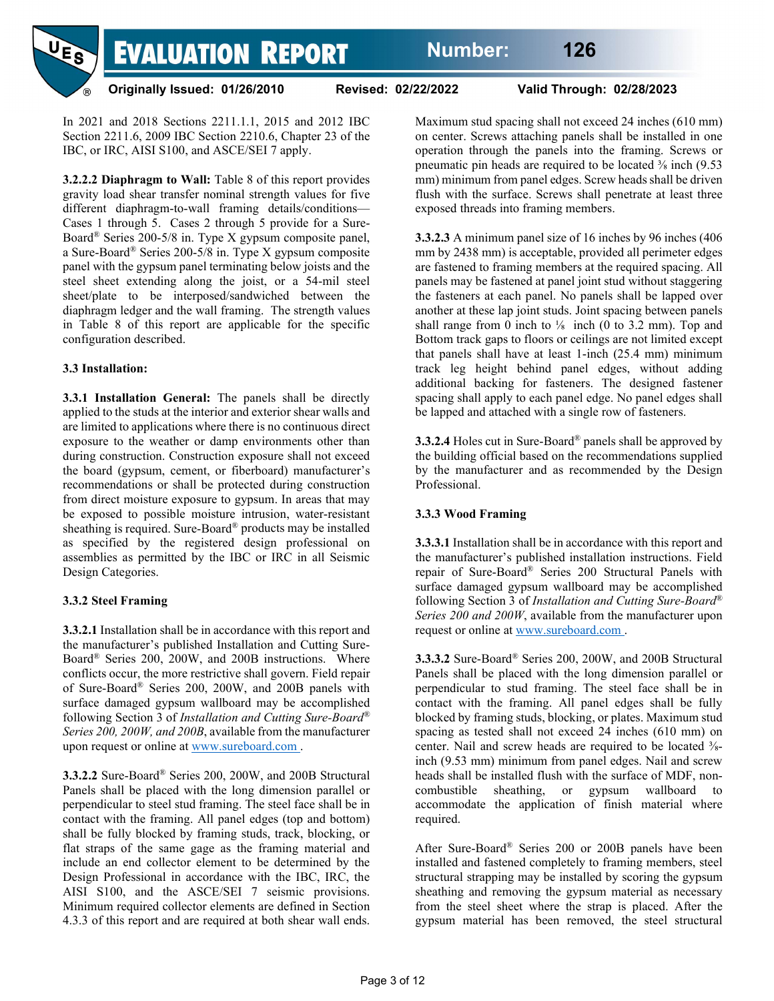

**Originally Issued: 01/26/2010 Revised: 02/22/2022 Valid Through: 02/28/2023**

In 2021 and 2018 Sections 2211.1.1, 2015 and 2012 IBC Section 2211.6, 2009 IBC Section 2210.6, Chapter 23 of the IBC, or IRC, AISI S100, and ASCE/SEI 7 apply.

**3.2.2.2 Diaphragm to Wall:** Table 8 of this report provides gravity load shear transfer nominal strength values for five different diaphragm-to-wall framing details/conditions— Cases 1 through 5. Cases 2 through 5 provide for a Sure-Board® Series 200-5/8 in. Type X gypsum composite panel, a Sure-Board® Series 200-5/8 in. Type X gypsum composite panel with the gypsum panel terminating below joists and the steel sheet extending along the joist, or a 54-mil steel sheet/plate to be interposed/sandwiched between the diaphragm ledger and the wall framing. The strength values in Table 8 of this report are applicable for the specific configuration described.

# **3.3 Installation:**

**3.3.1 Installation General:** The panels shall be directly applied to the studs at the interior and exterior shear walls and are limited to applications where there is no continuous direct exposure to the weather or damp environments other than during construction. Construction exposure shall not exceed the board (gypsum, cement, or fiberboard) manufacturer's recommendations or shall be protected during construction from direct moisture exposure to gypsum. In areas that may be exposed to possible moisture intrusion, water-resistant sheathing is required. Sure-Board® products may be installed as specified by the registered design professional on assemblies as permitted by the IBC or IRC in all Seismic Design Categories.

# **3.3.2 Steel Framing**

**3.3.2.1** Installation shall be in accordance with this report and the manufacturer's published Installation and Cutting Sure-Board® Series 200, 200W, and 200B instructions. Where conflicts occur, the more restrictive shall govern. Field repair of Sure-Board® Series 200, 200W, and 200B panels with surface damaged gypsum wallboard may be accomplished following Section 3 of *Installation and Cutting Sure-Board® Series 200, 200W, and 200B*, available from the manufacturer upon request or online a[t www.sureboard.com](http://www.sureboard.com/) .

**3.3.2.2** Sure-Board® Series 200, 200W, and 200B Structural Panels shall be placed with the long dimension parallel or perpendicular to steel stud framing. The steel face shall be in contact with the framing. All panel edges (top and bottom) shall be fully blocked by framing studs, track, blocking, or flat straps of the same gage as the framing material and include an end collector element to be determined by the Design Professional in accordance with the IBC, IRC, the AISI S100, and the ASCE/SEI 7 seismic provisions. Minimum required collector elements are defined in Section 4.3.3 of this report and are required at both shear wall ends. Maximum stud spacing shall not exceed 24 inches (610 mm) on center. Screws attaching panels shall be installed in one operation through the panels into the framing. Screws or pneumatic pin heads are required to be located  $\frac{3}{8}$  inch (9.53) mm) minimum from panel edges. Screw heads shall be driven flush with the surface. Screws shall penetrate at least three exposed threads into framing members.

**3.3.2.3** A minimum panel size of 16 inches by 96 inches (406 mm by 2438 mm) is acceptable, provided all perimeter edges are fastened to framing members at the required spacing. All panels may be fastened at panel joint stud without staggering the fasteners at each panel. No panels shall be lapped over another at these lap joint studs. Joint spacing between panels shall range from 0 inch to  $\frac{1}{8}$  inch (0 to 3.2 mm). Top and Bottom track gaps to floors or ceilings are not limited except that panels shall have at least 1-inch (25.4 mm) minimum track leg height behind panel edges, without adding additional backing for fasteners. The designed fastener spacing shall apply to each panel edge. No panel edges shall be lapped and attached with a single row of fasteners.

**3.3.2.4** Holes cut in Sure-Board® panels shall be approved by the building official based on the recommendations supplied by the manufacturer and as recommended by the Design Professional.

# **3.3.3 Wood Framing**

**3.3.3.1** Installation shall be in accordance with this report and the manufacturer's published installation instructions. Field repair of Sure-Board® Series 200 Structural Panels with surface damaged gypsum wallboard may be accomplished following Section 3 of *Installation and Cutting Sure-Board® Series 200 and 200W*, available from the manufacturer upon request or online at [www.sureboard.com](http://www.sureboard.com/) .

**3.3.3.2** Sure-Board® Series 200, 200W, and 200B Structural Panels shall be placed with the long dimension parallel or perpendicular to stud framing. The steel face shall be in contact with the framing. All panel edges shall be fully blocked by framing studs, blocking, or plates. Maximum stud spacing as tested shall not exceed 24 inches (610 mm) on center. Nail and screw heads are required to be located ⅜ inch (9.53 mm) minimum from panel edges. Nail and screw heads shall be installed flush with the surface of MDF, noncombustible sheathing, or gypsum wallboard to accommodate the application of finish material where required.

After Sure-Board® Series 200 or 200B panels have been installed and fastened completely to framing members, steel structural strapping may be installed by scoring the gypsum sheathing and removing the gypsum material as necessary from the steel sheet where the strap is placed. After the gypsum material has been removed, the steel structural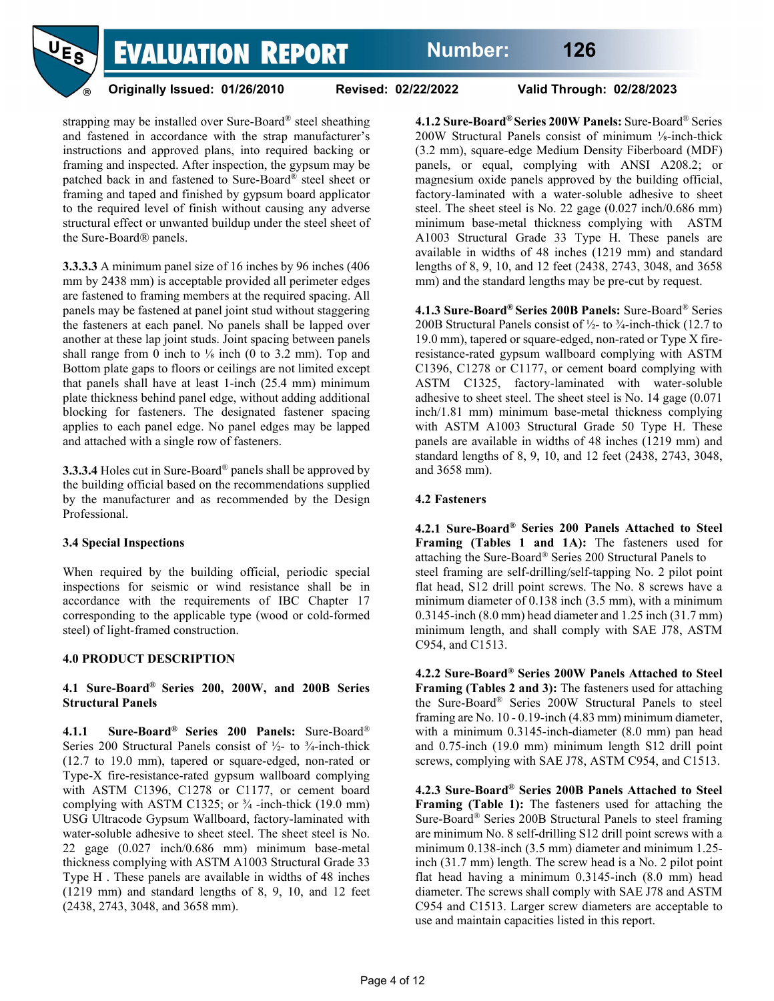

**Originally Issued: 01/26/2010 Revised: 02/22/2022 Valid Through: 02/28/2023**

strapping may be installed over Sure-Board® steel sheathing and fastened in accordance with the strap manufacturer's instructions and approved plans, into required backing or framing and inspected. After inspection, the gypsum may be patched back in and fastened to Sure-Board® steel sheet or framing and taped and finished by gypsum board applicator to the required level of finish without causing any adverse structural effect or unwanted buildup under the steel sheet of the Sure-Board® panels.

**3.3.3.3** A minimum panel size of 16 inches by 96 inches (406 mm by 2438 mm) is acceptable provided all perimeter edges are fastened to framing members at the required spacing. All panels may be fastened at panel joint stud without staggering the fasteners at each panel. No panels shall be lapped over another at these lap joint studs. Joint spacing between panels shall range from 0 inch to  $\frac{1}{8}$  inch (0 to 3.2 mm). Top and Bottom plate gaps to floors or ceilings are not limited except that panels shall have at least 1-inch (25.4 mm) minimum plate thickness behind panel edge, without adding additional blocking for fasteners. The designated fastener spacing applies to each panel edge. No panel edges may be lapped and attached with a single row of fasteners.

**3.3.3.4** Holes cut in Sure-Board® panels shall be approved by the building official based on the recommendations supplied by the manufacturer and as recommended by the Design Professional.

# **3.4 Special Inspections**

When required by the building official, periodic special inspections for seismic or wind resistance shall be in accordance with the requirements of IBC Chapter 17 corresponding to the applicable type (wood or cold-formed steel) of light-framed construction.

# **4.0 PRODUCT DESCRIPTION**

**4.1 Sure-Board® Series 200, 200W, and 200B Series Structural Panels**

**4.1.1 Sure-Board® Series 200 Panels:** Sure-Board® Series 200 Structural Panels consist of ½- to ¾-inch-thick (12.7 to 19.0 mm), tapered or square-edged, non-rated or Type-X fire-resistance-rated gypsum wallboard complying with ASTM C1396, C1278 or C1177, or cement board complying with ASTM C1325; or  $\frac{3}{4}$  -inch-thick (19.0 mm) USG Ultracode Gypsum Wallboard, factory-laminated with water-soluble adhesive to sheet steel. The sheet steel is No. 22 gage (0.027 inch/0.686 mm) minimum base-metal thickness complying with ASTM A1003 Structural Grade 33 Type H . These panels are available in widths of 48 inches (1219 mm) and standard lengths of 8, 9, 10, and 12 feet (2438, 2743, 3048, and 3658 mm).

**4.1.2 Sure-Board® Series 200W Panels:** Sure-Board® Series 200W Structural Panels consist of minimum ⅛-inch-thick (3.2 mm), square-edge Medium Density Fiberboard (MDF) panels, or equal, complying with ANSI A208.2; or magnesium oxide panels approved by the building official, factory-laminated with a water-soluble adhesive to sheet steel. The sheet steel is No. 22 gage (0.027 inch/0.686 mm) minimum base-metal thickness complying with ASTM A1003 Structural Grade 33 Type H. These panels are available in widths of 48 inches (1219 mm) and standard lengths of 8, 9, 10, and 12 feet (2438, 2743, 3048, and 3658 mm) and the standard lengths may be pre-cut by request.

**4.1.3 Sure-Board® Series 200B Panels:** Sure-Board® Series 200B Structural Panels consist of  $\frac{1}{2}$ - to  $\frac{3}{4}$ -inch-thick (12.7 to 19.0 mm), tapered or square-edged, non-rated or Type X fireresistance-rated gypsum wallboard complying with ASTM C1396, C1278 or C1177, or cement board complying with ASTM C1325, factory-laminated with water-soluble adhesive to sheet steel. The sheet steel is No. 14 gage (0.071 inch/1.81 mm) minimum base-metal thickness complying with ASTM A1003 Structural Grade 50 Type H. These panels are available in widths of 48 inches (1219 mm) and standard lengths of 8, 9, 10, and 12 feet (2438, 2743, 3048, and 3658 mm).

#### **4.2 Fasteners**

**4.2.1 Sure-Board® Series 200 Panels Attached to Steel Framing (Tables 1 and 1A):** The fasteners used for attaching the Sure-Board® Series 200 Structural Panels to steel framing are self-drilling/self-tapping No. 2 pilot point flat head, S12 drill point screws. The No. 8 screws have a minimum diameter of 0.138 inch (3.5 mm), with a minimum 0.3145-inch (8.0 mm) head diameter and 1.25 inch (31.7 mm) minimum length, and shall comply with SAE J78, ASTM C954, and C1513.

**4.2.2 Sure-Board® Series 200W Panels Attached to Steel Framing (Tables 2 and 3):** The fasteners used for attaching the Sure-Board® Series 200W Structural Panels to steel framing are No. 10 - 0.19-inch (4.83 mm) minimum diameter, with a minimum 0.3145-inch-diameter (8.0 mm) pan head and 0.75-inch (19.0 mm) minimum length S12 drill point screws, complying with SAE J78, ASTM C954, and C1513.

**4.2.3 Sure-Board® Series 200B Panels Attached to Steel Framing (Table 1):** The fasteners used for attaching the Sure-Board® Series 200B Structural Panels to steel framing are minimum No. 8 self-drilling S12 drill point screws with a minimum 0.138-inch (3.5 mm) diameter and minimum 1.25 inch (31.7 mm) length. The screw head is a No. 2 pilot point flat head having a minimum 0.3145-inch (8.0 mm) head diameter. The screws shall comply with SAE J78 and ASTM C954 and C1513. Larger screw diameters are acceptable to use and maintain capacities listed in this report.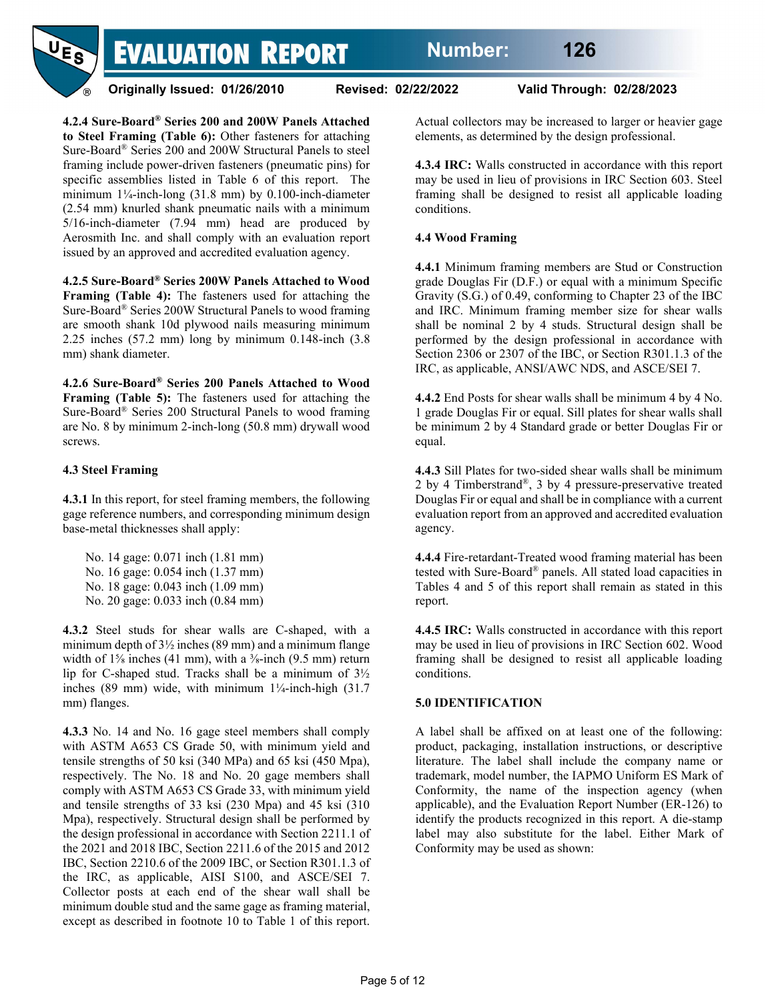

**Originally Issued: 01/26/2010 Revised: 02/22/2022 Valid Through: 02/28/2023**

**4.2.4 Sure-Board® Series 200 and 200W Panels Attached to Steel Framing (Table 6):** Other fasteners for attaching Sure-Board® Series 200 and 200W Structural Panels to steel framing include power-driven fasteners (pneumatic pins) for specific assemblies listed in Table 6 of this report. The minimum 1¼-inch-long (31.8 mm) by 0.100-inch-diameter (2.54 mm) knurled shank pneumatic nails with a minimum 5/16-inch-diameter (7.94 mm) head are produced by Aerosmith Inc. and shall comply with an evaluation report issued by an approved and accredited evaluation agency.

**4.2.5 Sure-Board® Series 200W Panels Attached to Wood Framing (Table 4):** The fasteners used for attaching the Sure-Board® Series 200W Structural Panels to wood framing are smooth shank 10d plywood nails measuring minimum 2.25 inches (57.2 mm) long by minimum 0.148-inch (3.8 mm) shank diameter.

**4.2.6 Sure-Board® Series 200 Panels Attached to Wood Framing (Table 5):** The fasteners used for attaching the Sure-Board® Series 200 Structural Panels to wood framing are No. 8 by minimum 2-inch-long (50.8 mm) drywall wood screws.

# **4.3 Steel Framing**

**4.3.1** In this report, for steel framing members, the following gage reference numbers, and corresponding minimum design base-metal thicknesses shall apply:

No. 14 gage: 0.071 inch (1.81 mm) No. 16 gage: 0.054 inch (1.37 mm) No. 18 gage: 0.043 inch (1.09 mm) No. 20 gage: 0.033 inch (0.84 mm)

**4.3.2** Steel studs for shear walls are C-shaped, with a minimum depth of 3½ inches (89 mm) and a minimum flange width of  $1\frac{5}{8}$  inches (41 mm), with a  $\frac{3}{8}$ -inch (9.5 mm) return lip for C-shaped stud. Tracks shall be a minimum of  $3\frac{1}{2}$ inches (89 mm) wide, with minimum 1¼-inch-high (31.7 mm) flanges.

**4.3.3** No. 14 and No. 16 gage steel members shall comply with ASTM A653 CS Grade 50, with minimum yield and tensile strengths of 50 ksi (340 MPa) and 65 ksi (450 Mpa), respectively. The No. 18 and No. 20 gage members shall comply with ASTM A653 CS Grade 33, with minimum yield and tensile strengths of 33 ksi (230 Mpa) and 45 ksi (310 Mpa), respectively. Structural design shall be performed by the design professional in accordance with Section 2211.1 of the 2021 and 2018 IBC, Section 2211.6 of the 2015 and 2012 IBC, Section 2210.6 of the 2009 IBC, or Section R301.1.3 of the IRC, as applicable, AISI S100, and ASCE/SEI 7. Collector posts at each end of the shear wall shall be minimum double stud and the same gage as framing material, except as described in footnote 10 to Table 1 of this report.

Actual collectors may be increased to larger or heavier gage elements, as determined by the design professional.

**4.3.4 IRC:** Walls constructed in accordance with this report may be used in lieu of provisions in IRC Section 603. Steel framing shall be designed to resist all applicable loading conditions.

# **4.4 Wood Framing**

**4.4.1** Minimum framing members are Stud or Construction grade Douglas Fir (D.F.) or equal with a minimum Specific Gravity (S.G.) of 0.49, conforming to Chapter 23 of the IBC and IRC. Minimum framing member size for shear walls shall be nominal 2 by 4 studs. Structural design shall be performed by the design professional in accordance with Section 2306 or 2307 of the IBC, or Section R301.1.3 of the IRC, as applicable, ANSI/AWC NDS, and ASCE/SEI 7.

**4.4.2** End Posts for shear walls shall be minimum 4 by 4 No. 1 grade Douglas Fir or equal. Sill plates for shear walls shall be minimum 2 by 4 Standard grade or better Douglas Fir or equal.

**4.4.3** Sill Plates for two-sided shear walls shall be minimum 2 by 4 Timberstrand®, 3 by 4 pressure-preservative treated Douglas Fir or equal and shall be in compliance with a current evaluation report from an approved and accredited evaluation agency.

**4.4.4** Fire-retardant-Treated wood framing material has been tested with Sure-Board® panels. All stated load capacities in Tables 4 and 5 of this report shall remain as stated in this report.

**4.4.5 IRC:** Walls constructed in accordance with this report may be used in lieu of provisions in IRC Section 602. Wood framing shall be designed to resist all applicable loading conditions.

# **5.0 IDENTIFICATION**

A label shall be affixed on at least one of the following: product, packaging, installation instructions, or descriptive literature. The label shall include the company name or trademark, model number, the IAPMO Uniform ES Mark of Conformity, the name of the inspection agency (when applicable), and the Evaluation Report Number (ER-126) to identify the products recognized in this report. A die-stamp label may also substitute for the label. Either Mark of Conformity may be used as shown: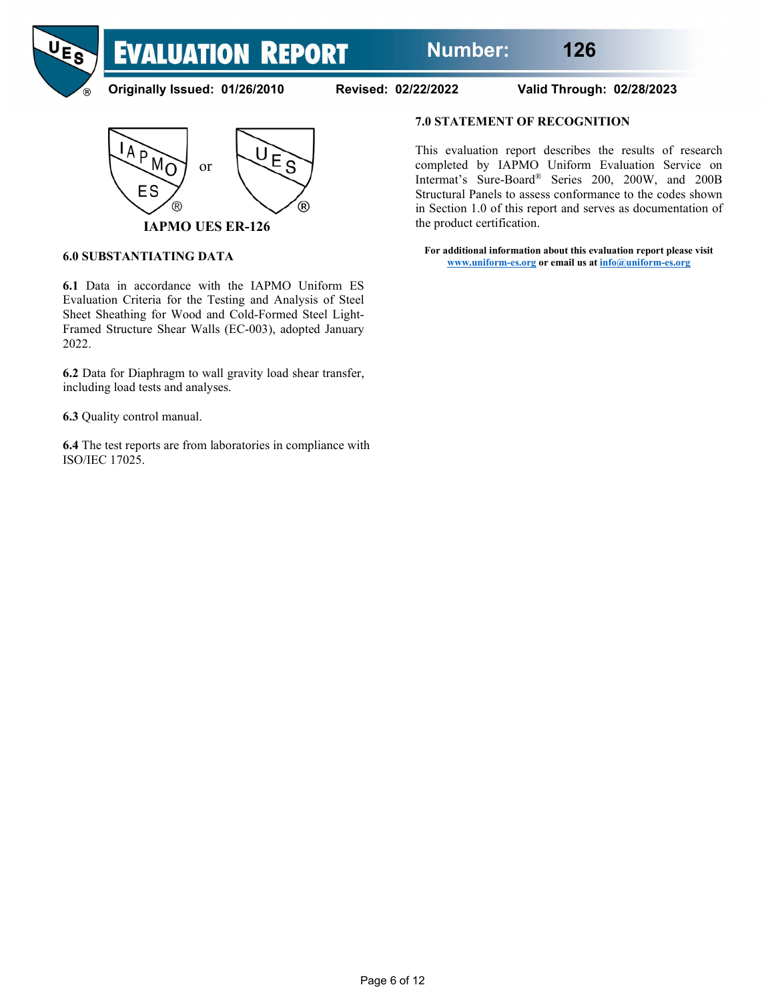**Number: 126**



**Originally Issued: 01/26/2010 Revised: 02/22/2022 Valid Through: 02/28/2023**

**EVALUATION REPORT** 



#### **6.0 SUBSTANTIATING DATA**

**6.1** Data in accordance with the IAPMO Uniform ES Evaluation Criteria for the Testing and Analysis of Steel Sheet Sheathing for Wood and Cold-Formed Steel Light-Framed Structure Shear Walls (EC-003), adopted January 2022.

**6.2** Data for Diaphragm to wall gravity load shear transfer, including load tests and analyses.

**6.3** Quality control manual.

**6.4** The test reports are from laboratories in compliance with ISO/IEC 17025.

# **7.0 STATEMENT OF RECOGNITION**

This evaluation report describes the results of research completed by IAPMO Uniform Evaluation Service on Intermat's Sure-Board® Series 200, 200W, and 200B Structural Panels to assess conformance to the codes shown in Section 1.0 of this report and serves as documentation of the product certification.

**For additional information about this evaluation report please visit [www.uniform-es.org](http://www.uniform-es.org/) or email us a[t info@uniform-es.org](mailto:info@uniform-es.org)**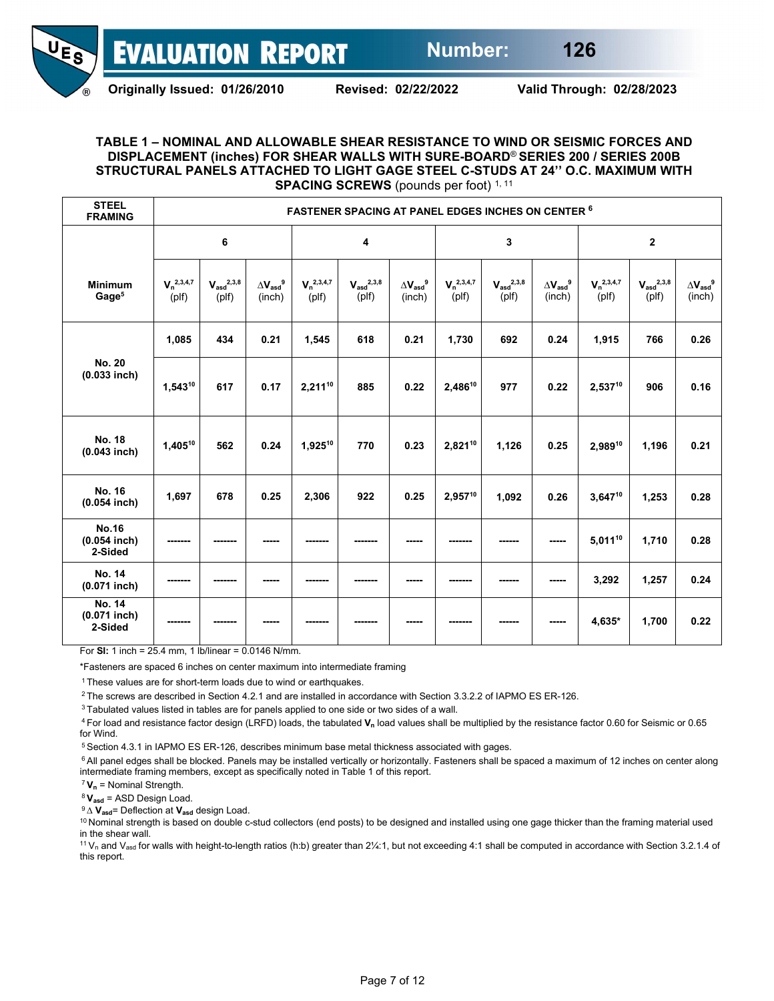

**Originally Issued: 01/26/2010 Revised: 02/22/2022 Valid Through: 02/28/2023**

#### **TABLE 1 – NOMINAL AND ALLOWABLE SHEAR RESISTANCE TO WIND OR SEISMIC FORCES AND DISPLACEMENT (inches) FOR SHEAR WALLS WITH SURE-BOARD**® **SERIES 200 / SERIES 200B STRUCTURAL PANELS ATTACHED TO LIGHT GAGE STEEL C-STUDS AT 24'' O.C. MAXIMUM WITH SPACING SCREWS** (pounds per foot) 1, 11

| <b>STEEL</b><br><b>FRAMING</b>             | <b>FASTENER SPACING AT PANEL EDGES INCHES ON CENTER 6</b> |                                         |                                      |                                |                                                        |                                      |                                |                                                        |                                          |                                |                                         |                                      |  |  |
|--------------------------------------------|-----------------------------------------------------------|-----------------------------------------|--------------------------------------|--------------------------------|--------------------------------------------------------|--------------------------------------|--------------------------------|--------------------------------------------------------|------------------------------------------|--------------------------------|-----------------------------------------|--------------------------------------|--|--|
|                                            | 6                                                         |                                         |                                      |                                | 4                                                      |                                      |                                | 3                                                      |                                          |                                | $\mathbf{2}$                            |                                      |  |  |
| <b>Minimum</b><br>Gage <sup>5</sup>        | $V_n^{2,3,4,7}$<br>$($ plf $)$                            | $V_{\text{asd}}^{2,3,8}$<br>$($ plf $)$ | $\Delta\mathbf{V_{asd}}^9$<br>(inch) | $V_n^{2,3,4,7}$<br>$($ plf $)$ | $\boldsymbol{V_{\textrm{asd}}}^{2,3,8}$<br>$($ plf $)$ | $\Delta\mathbf{V_{asd}}^9$<br>(inch) | $V_n^{2,3,4,7}$<br>$($ plf $)$ | $\boldsymbol{V_{\textrm{asd}}}^{2,3,8}$<br>$($ plf $)$ | $\Delta V_{\rm asd}^{\quad 9}$<br>(inch) | $V_n^{2,3,4,7}$<br>$($ plf $)$ | $V_{\text{asd}}^{2,3,8}$<br>$($ plf $)$ | $\Delta\mathbf{V_{asd}}^9$<br>(inch) |  |  |
|                                            | 1,085                                                     | 434                                     | 0.21                                 | 1,545                          | 618                                                    | 0.21                                 | 1,730                          | 692                                                    | 0.24                                     | 1,915                          | 766                                     | 0.26                                 |  |  |
| <b>No. 20</b><br>$(0.033$ inch)            | $1,543^{10}$                                              | 617                                     | 0.17                                 | 2,21110                        | 885                                                    | 0.22                                 | 2,48610                        | 977                                                    | 0.22                                     | 2,53710                        | 906                                     | 0.16                                 |  |  |
| <b>No. 18</b><br>$(0.043$ inch)            | $1,405^{10}$                                              | 562                                     | 0.24                                 | 1,92510                        | 770                                                    | 0.23                                 | 2,82110                        | 1,126                                                  | 0.25                                     | 2,98910                        | 1,196                                   | 0.21                                 |  |  |
| No. 16<br>$(0.054$ inch)                   | 1,697                                                     | 678                                     | 0.25                                 | 2,306                          | 922                                                    | 0.25                                 | 2,95710                        | 1,092                                                  | 0.26                                     | 3,64710                        | 1,253                                   | 0.28                                 |  |  |
| <b>No.16</b><br>$(0.054$ inch)<br>2-Sided  |                                                           |                                         |                                      |                                |                                                        |                                      |                                |                                                        |                                          | $5,011^{10}$                   | 1,710                                   | 0.28                                 |  |  |
| No. 14<br>$(0.071$ inch)                   |                                                           |                                         |                                      |                                |                                                        |                                      |                                |                                                        |                                          | 3,292                          | 1,257                                   | 0.24                                 |  |  |
| <b>No. 14</b><br>$(0.071$ inch)<br>2-Sided |                                                           |                                         |                                      |                                |                                                        |                                      |                                |                                                        |                                          | 4,635*                         | 1,700                                   | 0.22                                 |  |  |

For **SI:** 1 inch = 25.4 mm, 1 lb/linear = 0.0146 N/mm.

\*Fasteners are spaced 6 inches on center maximum into intermediate framing

1 These values are for short-term loads due to wind or earthquakes.

2 The screws are described in Section 4.2.1 and are installed in accordance with Section 3.3.2.2 of IAPMO ES ER-126.

3 Tabulated values listed in tables are for panels applied to one side or two sides of a wall.

4 For load and resistance factor design (LRFD) loads, the tabulated **Vn** load values shall be multiplied by the resistance factor 0.60 for Seismic or 0.65 for Wind.

5 Section 4.3.1 in IAPMO ES ER-126, describes minimum base metal thickness associated with gages.

<sup>6</sup> All panel edges shall be blocked. Panels may be installed vertically or horizontally. Fasteners shall be spaced a maximum of 12 inches on center along intermediate framing members, except as specifically noted in Table 1 of this report.

 $7V_n$  = Nominal Strength.

<sup>8</sup>**Vasd** = ASD Design Load.

<sup>9</sup> ∆ **V**<sub>asd</sub>= Deflection at **V**<sub>asd</sub> design Load.

<sup>10</sup> Nominal strength is based on double c-stud collectors (end posts) to be designed and installed using one gage thicker than the framing material used in the shear wall.

 $11$  V<sub>n</sub> and V<sub>asd</sub> for walls with height-to-length ratios (h:b) greater than 2¼:1, but not exceeding 4:1 shall be computed in accordance with Section 3.2.1.4 of this report.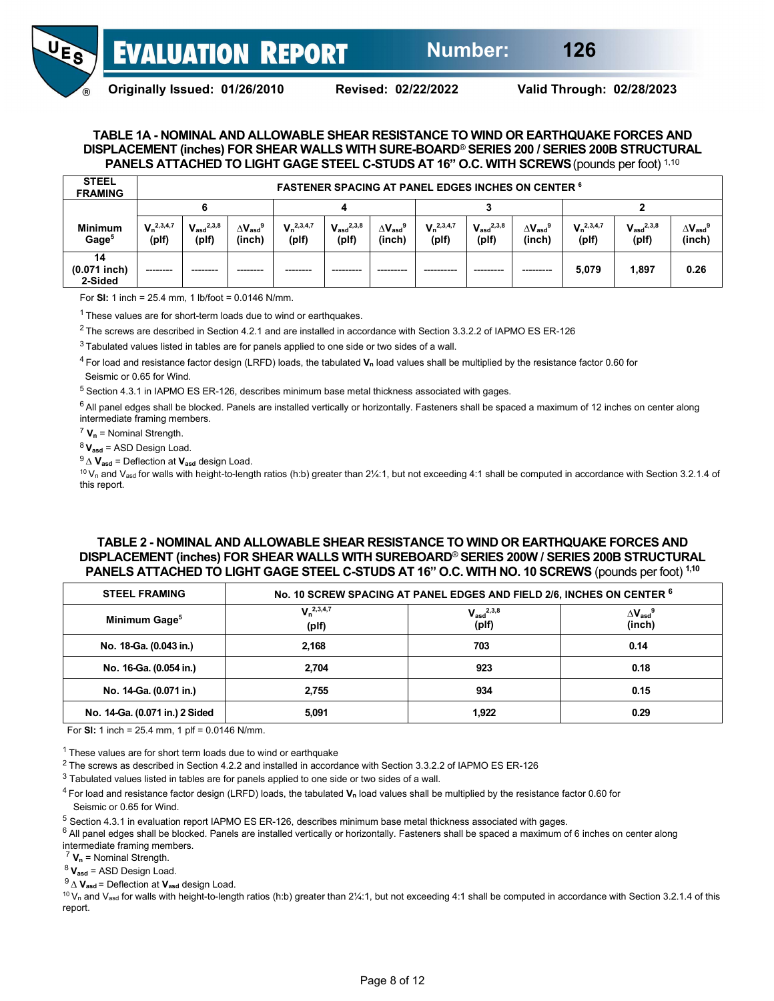

**Originally Issued: 01/26/2010 Revised: 02/22/2022 Valid Through: 02/28/2023**

#### **TABLE 1A - NOMINAL AND ALLOWABLE SHEAR RESISTANCE TO WIND OR EARTHQUAKE FORCES AND DISPLACEMENT (inches) FOR SHEAR WALLS WITH SURE-BOARD**® **SERIES 200 / SERIES 200B STRUCTURAL PANELS ATTACHED TO LIGHT GAGE STEEL C-STUDS AT 16" O.C. WITH SCREWS**(pounds per foot) 1,10

| <b>STEEL</b><br><b>FRAMING</b>      |                          | <b>FASTENER SPACING AT PANEL EDGES INCHES ON CENTER 6</b> |                                                  |                          |                                   |                                                  |                          |                                   |                                                  |                          |                                   |                                                         |  |  |
|-------------------------------------|--------------------------|-----------------------------------------------------------|--------------------------------------------------|--------------------------|-----------------------------------|--------------------------------------------------|--------------------------|-----------------------------------|--------------------------------------------------|--------------------------|-----------------------------------|---------------------------------------------------------|--|--|
|                                     | 6                        |                                                           |                                                  |                          |                                   |                                                  |                          |                                   |                                                  |                          |                                   |                                                         |  |  |
| <b>Minimum</b><br>Gage <sup>5</sup> | $V_n^{2,3,4,7}$<br>(plf) | $V_{\text{asd}}^{2,3,8}$<br>(plf)                         | $\Delta$ V <sub>asd</sub> <sup>9</sup><br>(inch) | $V_n^{2,3,4,7}$<br>(plf) | $V_{\text{asd}}^{2,3,8}$<br>(plf) | $\Delta$ V <sub>asd</sub> <sup>9</sup><br>(inch) | $V_n^{2,3,4,7}$<br>(plf) | $V_{\text{asd}}^{2,3,8}$<br>(plf) | $\Delta$ V <sub>asd</sub> <sup>9</sup><br>(inch) | $V_n^{2,3,4,7}$<br>(plf) | $V_{\text{asd}}^{2,3,8}$<br>(plf) | $\Delta$ <b>V</b> <sub>asd</sub> <sup>9</sup><br>(inch) |  |  |
| 14<br>$(0.071$ inch)<br>2-Sided     | --------                 | --------                                                  |                                                  |                          |                                   |                                                  |                          |                                   | --------                                         | 5,079                    | 1,897                             | 0.26                                                    |  |  |

For **SI:** 1 inch = 25.4 mm, 1 lb/foot = 0.0146 N/mm.

 $1$  These values are for short-term loads due to wind or earthquakes.

<sup>2</sup> The screws are described in Section 4.2.1 and are installed in accordance with Section 3.3.2.2 of IAPMO ES ER-126

 $3$  Tabulated values listed in tables are for panels applied to one side or two sides of a wall.

<sup>4</sup> For load and resistance factor design (LRFD) loads, the tabulated **Vn** load values shall be multiplied by the resistance factor 0.60 for Seismic or 0.65 for Wind.

5 Section 4.3.1 in IAPMO ES ER-126, describes minimum base metal thickness associated with gages.

 $6$  All panel edges shall be blocked. Panels are installed vertically or horizontally. Fasteners shall be spaced a maximum of 12 inches on center along intermediate framing members.

 $7$   $V_n$  = Nominal Strength.

<sup>8</sup> **Vasd** = ASD Design Load.

<sup>9</sup> **∆ Vasd** = Deflection at **Vasd** design Load.

 $10$  V<sub>n</sub> and V<sub>asd</sub> for walls with height-to-length ratios (h:b) greater than 2¼:1, but not exceeding 4:1 shall be computed in accordance with Section 3.2.1.4 of this report.

#### **TABLE 2 - NOMINAL AND ALLOWABLE SHEAR RESISTANCE TO WIND OR EARTHQUAKE FORCES AND DISPLACEMENT (inches) FOR SHEAR WALLS WITH SUREBOARD**® **SERIES 200W / SERIES 200B STRUCTURAL PANELS ATTACHED TO LIGHT GAGE STEEL C-STUDS AT 16" O.C. WITH NO. 10 SCREWS** (pounds per foot) **1,10**

| <b>STEEL FRAMING</b>           | No. 10 SCREW SPACING AT PANEL EDGES AND FIELD 2/6, INCHES ON CENTER 6 |                                   |                                                         |  |  |  |  |  |  |  |
|--------------------------------|-----------------------------------------------------------------------|-----------------------------------|---------------------------------------------------------|--|--|--|--|--|--|--|
| Minimum Gage <sup>5</sup>      | $V_n^{2,3,4,7}$<br>(plf)                                              | $V_{\text{asd}}^{2,3,8}$<br>(plf) | $\Delta$ <b>V</b> <sub>asd</sub> <sup>9</sup><br>(inch) |  |  |  |  |  |  |  |
| No. 18-Ga. (0.043 in.)         | 2.168                                                                 | 703                               | 0.14                                                    |  |  |  |  |  |  |  |
| No. 16-Ga. (0.054 in.)         | 2.704                                                                 | 923                               | 0.18                                                    |  |  |  |  |  |  |  |
| No. 14-Ga. (0.071 in.)         | 2.755                                                                 | 934                               | 0.15                                                    |  |  |  |  |  |  |  |
| No. 14-Ga. (0.071 in.) 2 Sided | 5,091                                                                 | 1.922                             | 0.29                                                    |  |  |  |  |  |  |  |

For **Sl:** 1 inch = 25.4 mm, 1 plf = 0.0146 N/mm.

1 These values are for short term loads due to wind or earthquake

2 The screws as described in Section 4.2.2 and installed in accordance with Section 3.3.2.2 of IAPMO ES ER-126

 $3$  Tabulated values listed in tables are for panels applied to one side or two sides of a wall.

<sup>4</sup> For load and resistance factor design (LRFD) loads, the tabulated **V**<sub>n</sub> load values shall be multiplied by the resistance factor 0.60 for Seismic or 0.65 for Wind.

<sup>5</sup> Section 4.3.1 in evaluation report IAPMO ES ER-126, describes minimum base metal thickness associated with gages.

 $6$  All panel edges shall be blocked. Panels are installed vertically or horizontally. Fasteners shall be spaced a maximum of 6 inches on center along intermediate framing members.

 $7 \text{ V}_n$  = Nominal Strength.<br><sup>8</sup>  $\text{V}_{\text{asd}}$  = ASD Design Load.

<sup>9</sup> ∆ **V**<sub>asd</sub> = Deflection at **V**<sub>asd</sub> design Load.

 $10$  V<sub>n</sub> and V<sub>asd</sub> for walls with height-to-length ratios (h:b) greater than 2¼:1, but not exceeding 4:1 shall be computed in accordance with Section 3.2.1.4 of this report.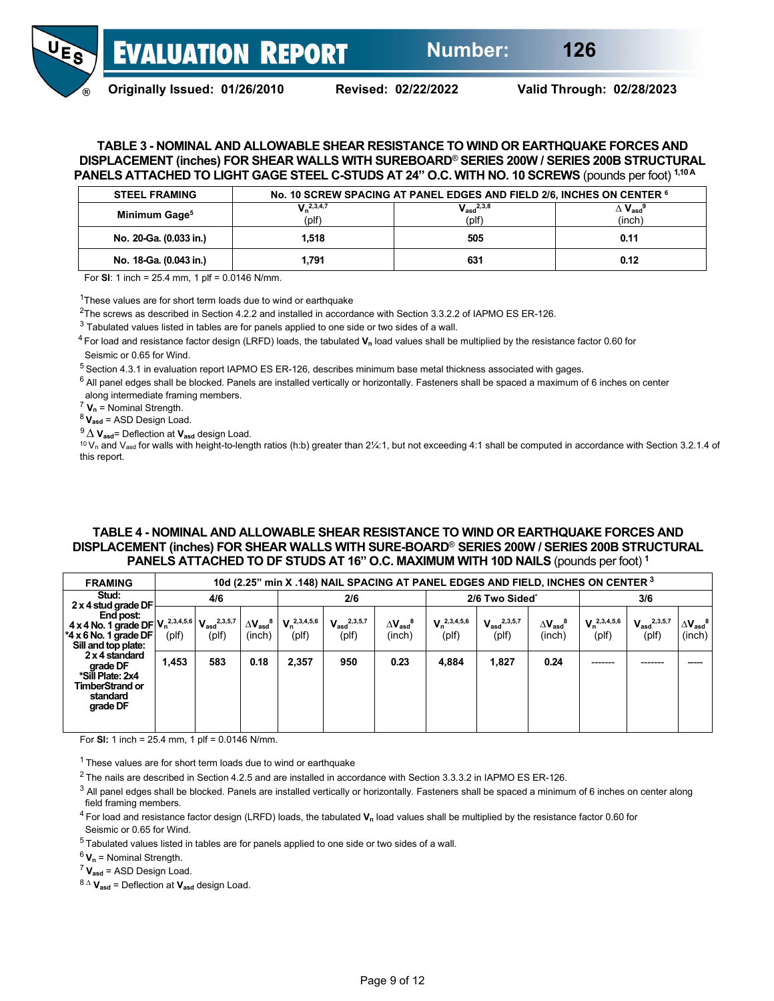

**Originally Issued: 01/26/2010 Revised: 02/22/2022 Valid Through: 02/28/2023**

#### **TABLE 3 - NOMINAL AND ALLOWABLE SHEAR RESISTANCE TO WIND OR EARTHQUAKE FORCES AND DISPLACEMENT (inches) FOR SHEAR WALLS WITH SUREBOARD**® **SERIES 200W / SERIES 200B STRUCTURAL PANELS ATTACHED TO LIGHT GAGE STEEL C-STUDS AT 24" O.C. WITH NO. 10 SCREWS** (pounds per foot) **1,10 <sup>A</sup>**

| <b>STEEL FRAMING</b>      | No. 10 SCREW SPACING AT PANEL EDGES AND FIELD 2/6, INCHES ON CENTER 6 |                                   |                                                |  |  |  |  |  |  |  |
|---------------------------|-----------------------------------------------------------------------|-----------------------------------|------------------------------------------------|--|--|--|--|--|--|--|
| Minimum Gage <sup>5</sup> | $V_{n}^{2,3,4,7}$<br>(plf)                                            | $V_{\text{asd}}^{2,3,8}$<br>(plf) | $\Delta$ $\mathsf{V}_{\mathsf{asd}}$<br>(inch) |  |  |  |  |  |  |  |
| No. 20-Ga. (0.033 in.)    | 1.518                                                                 | 505                               | 0.11                                           |  |  |  |  |  |  |  |
| No. 18-Ga. (0.043 in.)    | 1.791                                                                 | 631                               | 0.12                                           |  |  |  |  |  |  |  |

For **Sl**: 1 inch = 25.4 mm, 1 plf = 0.0146 N/mm.

<sup>1</sup>These values are for short term loads due to wind or earthquake

2The screws as described in Section 4.2.2 and installed in accordance with Section 3.3.2.2 of IAPMO ES ER-126.

 $3$  Tabulated values listed in tables are for panels applied to one side or two sides of a wall.

<sup>4</sup> For load and resistance factor design (LRFD) loads, the tabulated **Vn** load values shall be multiplied by the resistance factor 0.60 for Seismic or 0.65 for Wind.

<sup>5</sup> Section 4.3.1 in evaluation report IAPMO ES ER-126, describes minimum base metal thickness associated with gages.

 $6$  All panel edges shall be blocked. Panels are installed vertically or horizontally. Fasteners shall be spaced a maximum of 6 inches on center along intermediate framing members.<br> $7 \text{ V}_n$  = Nominal Strength.

 $8$  **V**<sub>asd</sub> = ASD Design Load.

<sup>9</sup>∆ **Vasd**= Deflection at **Vasd** design Load.

10 V<sub>n</sub> and V<sub>asd</sub> for walls with height-to-length ratios (h:b) greater than 2¼:1, but not exceeding 4:1 shall be computed in accordance with Section 3.2.1.4 of this report.

#### **TABLE 4 - NOMINAL AND ALLOWABLE SHEAR RESISTANCE TO WIND OR EARTHQUAKE FORCES AND DISPLACEMENT (inches) FOR SHEAR WALLS WITH SURE-BOARD**® **SERIES 200W / SERIES 200B STRUCTURAL PANELS ATTACHED TO DF STUDS AT 16" O.C. MAXIMUM WITH 10D NAILS** (pounds per foot) **<sup>1</sup>**

| <b>FRAMING</b>                                                                                                                        |       | 10d (2.25" min X .148) NAIL SPACING AT PANEL EDGES AND FIELD, INCHES ON CENTER 3 |                                                         |                            |                                       |                                                  |                            |                                              |                                                         |                            |                                             |                                                  |  |  |
|---------------------------------------------------------------------------------------------------------------------------------------|-------|----------------------------------------------------------------------------------|---------------------------------------------------------|----------------------------|---------------------------------------|--------------------------------------------------|----------------------------|----------------------------------------------|---------------------------------------------------------|----------------------------|---------------------------------------------|--------------------------------------------------|--|--|
| Stud:<br>2 x 4 stud grade DF                                                                                                          | 4/6   |                                                                                  |                                                         | 2/6                        |                                       |                                                  | 2/6 Two Sided <sup>*</sup> |                                              |                                                         | 3/6                        |                                             |                                                  |  |  |
| End post:<br>4 x 4 No. 1 grade DF $V_n^{2,3,4,5,6}$ $V_{\text{asd}}^{2,3,5,7}$<br>$*4 \times 6$ No. 1 grade DF<br>Sill and top plate: | (plf) | (plf)                                                                            | $\Delta$ <b>V</b> <sub>asd</sub> <sup>8</sup><br>(inch) | $V_n^{2,3,4,5,6}$<br>(plf) | $\mathbf{V_{asd}}^{2,3,5,7}$<br>(plf) | $\Delta$ V <sub>asd</sub> <sup>8</sup><br>(inch) | $V_n^{2,3,4,5,6}$<br>(plf) | $V_{\text{asd}}^{2,3,5,7}$<br>$(\text{plf})$ | $\Delta$ <b>V</b> <sub>asd</sub> <sup>8</sup><br>(inch) | $V_n^{2,3,4,5,6}$<br>(plf) | $\mathbf{V_{asd}}^{2,3,5,7}$<br>$($ plf $)$ | $\Delta$ V <sub>asd</sub> <sup>8</sup><br>(inch) |  |  |
| 2 x 4 standard<br>grade DF<br>*Sill Plate: 2x4<br>TimberStrand or<br>standard<br>grade DF                                             | 1,453 | 583                                                                              | 0.18                                                    | 2,357                      | 950                                   | 0.23                                             | 4,884                      | 1,827                                        | 0.24                                                    |                            |                                             |                                                  |  |  |

For **Sl:** 1 inch = 25.4 mm, 1 plf = 0.0146 N/mm.

<sup>1</sup> These values are for short term loads due to wind or earthquake

 $2$  The nails are described in Section 4.2.5 and are installed in accordance with Section 3.3.3.2 in IAPMO ES ER-126.

 $3$  All panel edges shall be blocked. Panels are installed vertically or horizontally. Fasteners shall be spaced a minimum of 6 inches on center along field framing members.

<sup>4</sup> For load and resistance factor design (LRFD) loads, the tabulated **V**<sub>n</sub> load values shall be multiplied by the resistance factor 0.60 for Seismic or 0.65 for Wind.

<sup>5</sup> Tabulated values listed in tables are for panels applied to one side or two sides of a wall.

 ${}^6V_n$  = Nominal Strength.<br><sup>7</sup>  $V_{\text{asd}}$  = ASD Design Load.

<sup>8</sup><sup>∆</sup> **Vasd** = Deflection at **Vasd** design Load.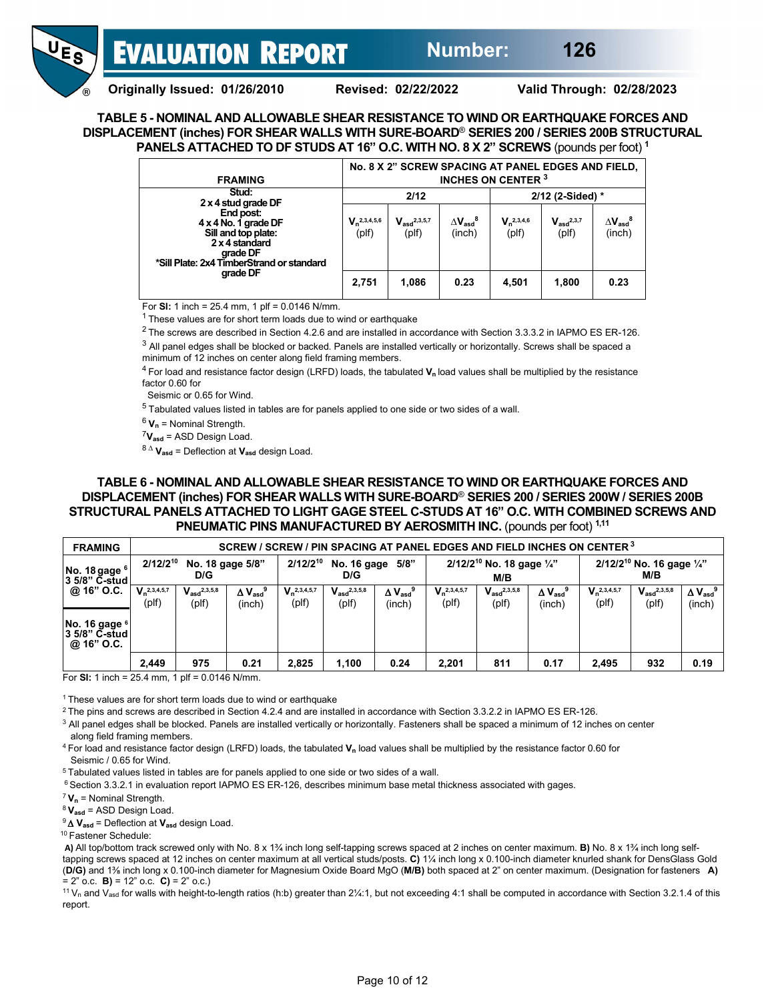

**Originally Issued: 01/26/2010 Revised: 02/22/2022 Valid Through: 02/28/2023**

**TABLE 5 - NOMINAL AND ALLOWABLE SHEAR RESISTANCE TO WIND OR EARTHQUAKE FORCES AND DISPLACEMENT (inches) FOR SHEAR WALLS WITH SURE-BOARD**® **SERIES 200 / SERIES 200B STRUCTURAL PANELS ATTACHED TO DF STUDS AT 16" O.C. WITH NO. 8 X 2" SCREWS** (pounds per foot) **<sup>1</sup>**

| <b>FRAMING</b>                                                                                                                             | No. 8 X 2" SCREW SPACING AT PANEL EDGES AND FIELD,<br><b>INCHES ON CENTER 3</b> |                                  |                                                  |                                |                                            |                                                         |  |  |  |
|--------------------------------------------------------------------------------------------------------------------------------------------|---------------------------------------------------------------------------------|----------------------------------|--------------------------------------------------|--------------------------------|--------------------------------------------|---------------------------------------------------------|--|--|--|
| Stud:<br>2 x 4 stud grade DF                                                                                                               |                                                                                 | 2/12                             |                                                  | 2/12 (2-Sided) *               |                                            |                                                         |  |  |  |
| End post:<br>$4 \times 4$ No. 1 grade DF<br>Sill and top plate:<br>2 x 4 standard<br>grade DF<br>*Sill Plate: 2x4 TimberStrand or standard | $V_n^{2,3,4,5,6}$<br>(plf)                                                      | $V_{\rm asd}^{2,3,5,7}$<br>(plf) | $\Delta$ V <sub>asd</sub> <sup>8</sup><br>(inch) | $V_n^{2,3,4,6}$<br>$($ plf $)$ | $V_{\text{asd}}^{2,3,7}$<br>$(\text{plf})$ | $\Delta$ <b>V</b> <sub>asd</sub> <sup>8</sup><br>(inch) |  |  |  |
| grade DF                                                                                                                                   | 2,751                                                                           | 1,086                            | 0.23                                             | 4,501                          | 1,800                                      | 0.23                                                    |  |  |  |

For **Sl:** 1 inch = 25.4 mm, 1 plf = 0.0146 N/mm.

 $1$  These values are for short term loads due to wind or earthquake

 $2$  The screws are described in Section 4.2.6 and are installed in accordance with Section 3.3.3.2 in IAPMO ES ER-126.

 $3$  All panel edges shall be blocked or backed. Panels are installed vertically or horizontally. Screws shall be spaced a minimum of 12 inches on center along field framing members.

<sup>4</sup> For load and resistance factor design (LRFD) loads, the tabulated **Vn** load values shall be multiplied by the resistance factor 0.60 for

Seismic or 0.65 for Wind.

 $5$  Tabulated values listed in tables are for panels applied to one side or two sides of a wall.

<sup>6</sup>**Vn** = Nominal Strength. 7**Vasd** = ASD Design Load.

<sup>8</sup> <sup>∆</sup> **Vasd** = Deflection at **Vasd** design Load.

#### **TABLE 6 - NOMINAL AND ALLOWABLE SHEAR RESISTANCE TO WIND OR EARTHQUAKE FORCES AND DISPLACEMENT (inches) FOR SHEAR WALLS WITH SURE-BOARD**® **SERIES 200 / SERIES 200W / SERIES 200B STRUCTURAL PANELS ATTACHED TO LIGHT GAGE STEEL C-STUDS AT 16" O.C. WITH COMBINED SCREWS AND PNEUMATIC PINS MANUFACTURED BY AEROSMITH INC.** (pounds per foot) **1,11**

| <b>FRAMING</b>                               | SCREW / SCREW / PIN SPACING AT PANEL EDGES AND FIELD INCHES ON CENTER 3 |                                  |                                               |                                  |                                             |                                       |                            |                                              |                                       |                            |                                              |                                       |  |
|----------------------------------------------|-------------------------------------------------------------------------|----------------------------------|-----------------------------------------------|----------------------------------|---------------------------------------------|---------------------------------------|----------------------------|----------------------------------------------|---------------------------------------|----------------------------|----------------------------------------------|---------------------------------------|--|
| No. 18 gage $6$<br>$3.5/8"$ C-stud           | 2/12/2 <sup>10</sup> No. 18 gage 5/8"<br>D/G                            |                                  |                                               |                                  | $2/12/2^{10}$<br>No. 16 gage<br>5/8"<br>D/G |                                       |                            | 2/12/2 <sup>10</sup> No. 18 gage 1/4"<br>M/B |                                       |                            | 2/12/2 <sup>10</sup> No. 16 gage 1/4"<br>M/B |                                       |  |
| @ 16" O.C.                                   | $V_n^{2,3,4,5,7}$<br>(plf)                                              | $V_{\rm asd}^{2,3,5,8}$<br>(plf) | $\Delta$ $V_{\rm asd}$ <sup>9</sup><br>(inch) | $V_n^{2,3,4,5,7}$<br>$($ plf $)$ | $V_{\rm asd}^{2,3,5,8}$<br>$(\text{plf})$   | $\Delta$ $V_{\text{asd}}^9$<br>(inch) | $V_n^{2,3,4,5,7}$<br>(plf) | $V_{\rm asd}^{2,3,5,8}$<br>(plf)             | $\Delta$ $V_{\text{asd}}^9$<br>(inch) | $V_n^{2,3,4,5,7}$<br>(plf) | $V_{\text{asd}^{2,3,5,8}}$<br>(plf)          | $\Delta$ $V_{\text{asd}}^9$<br>(inch) |  |
| No. 16 gage 6<br>3 5/8" C-stud<br>@ 16" O.C. |                                                                         |                                  |                                               |                                  |                                             |                                       |                            |                                              |                                       |                            |                                              |                                       |  |
|                                              | 2.449                                                                   | 975                              | 0.21                                          | 2,825                            | 1,100                                       | 0.24                                  | 2.201                      | 811                                          | 0.17                                  | 2.495                      | 932                                          | 0.19                                  |  |

For **SI:** 1 inch = 25.4 mm, 1 plf = 0.0146 N/mm.

<sup>1</sup> These values are for short term loads due to wind or earthquake

2 The pins and screws are described in Section 4.2.4 and are installed in accordance with Section 3.3.2.2 in IAPMO ES ER-126.

<sup>3</sup> All panel edges shall be blocked. Panels are installed vertically or horizontally. Fasteners shall be spaced a minimum of 12 inches on center along field framing members.

4 For load and resistance factor design (LRFD) loads, the tabulated **Vn** load values shall be multiplied by the resistance factor 0.60 for Seismic / 0.65 for Wind.

5 Tabulated values listed in tables are for panels applied to one side or two sides of a wall.

<sup>6</sup> Section 3.3.2.1 in evaluation report IAPMO ES ER-126, describes minimum base metal thickness associated with gages.

<sup>7</sup>**Vn** = Nominal Strength.

<sup>8</sup>**Vasd** = ASD Design Load.

<sup>9</sup>∆ **V**<sub>asd</sub> = Deflection at **V**<sub>asd</sub> design Load.

10 Fastener Schedule:

**A)** All top/bottom track screwed only with No. 8 x 1¾ inch long self-tapping screws spaced at 2 inches on center maximum. **B)** No. 8 x 1¾ inch long selftapping screws spaced at 12 inches on center maximum at all vertical studs/posts. **C)** 1¼ inch long x 0.100-inch diameter knurled shank for DensGlass Gold (**D/G)** and 1⅜ inch long x 0.100-inch diameter for Magnesium Oxide Board MgO (**M/B)** both spaced at 2" on center maximum. (Designation for fasteners **A)**  $= 2$ " o.c. **B)** = 12" o.c. **C)** = 2" o.c.)

 $11$  V<sub>n</sub> and V<sub>asd</sub> for walls with height-to-length ratios (h:b) greater than 2¼:1, but not exceeding 4:1 shall be computed in accordance with Section 3.2.1.4 of this report.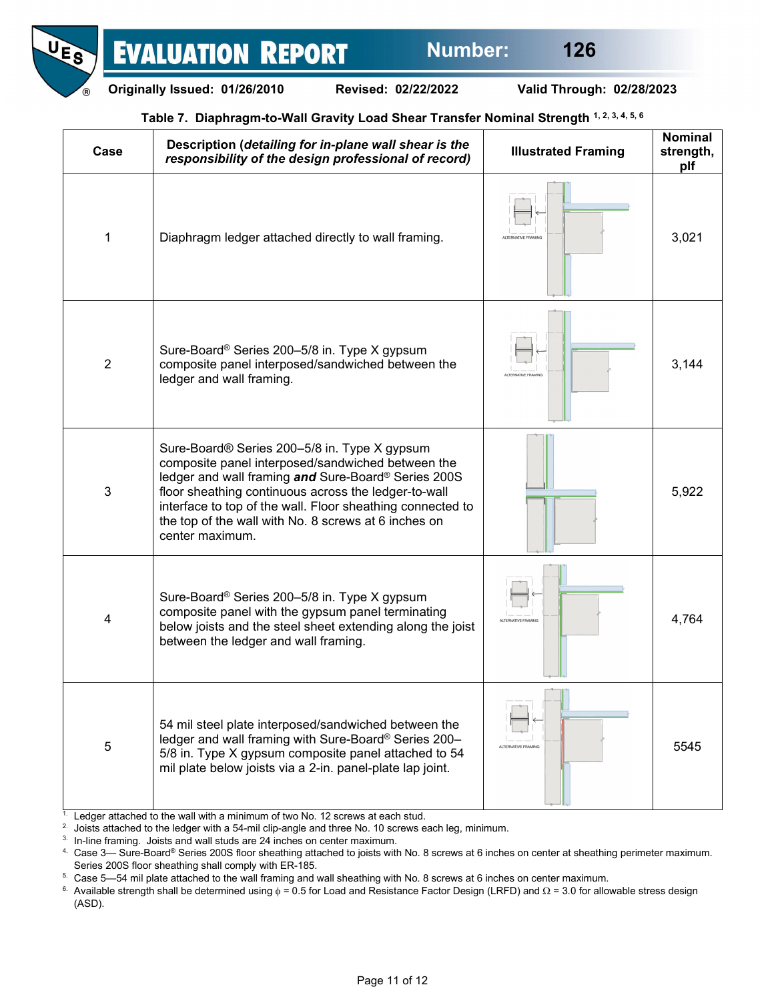

**Originally Issued: 01/26/2010 Revised: 02/22/2022 Valid Through: 02/28/2023**

# **Table 7. Diaphragm-to-Wall Gravity Load Shear Transfer Nominal Strength 1, 2, 3, 4, 5, 6**

| Case           | Description (detailing for in-plane wall shear is the<br>responsibility of the design professional of record)                                                                                                                                                                                                                                             | <b>Illustrated Framing</b> | <b>Nominal</b><br>strength,<br>plf |
|----------------|-----------------------------------------------------------------------------------------------------------------------------------------------------------------------------------------------------------------------------------------------------------------------------------------------------------------------------------------------------------|----------------------------|------------------------------------|
| 1              | Diaphragm ledger attached directly to wall framing.                                                                                                                                                                                                                                                                                                       |                            | 3,021                              |
| $\overline{2}$ | Sure-Board® Series 200-5/8 in. Type X gypsum<br>composite panel interposed/sandwiched between the<br>ledger and wall framing.                                                                                                                                                                                                                             |                            | 3,144                              |
| 3              | Sure-Board® Series 200-5/8 in. Type X gypsum<br>composite panel interposed/sandwiched between the<br>ledger and wall framing and Sure-Board® Series 200S<br>floor sheathing continuous across the ledger-to-wall<br>interface to top of the wall. Floor sheathing connected to<br>the top of the wall with No. 8 screws at 6 inches on<br>center maximum. |                            | 5,922                              |
| 4              | Sure-Board® Series 200-5/8 in. Type X gypsum<br>composite panel with the gypsum panel terminating<br>below joists and the steel sheet extending along the joist<br>between the ledger and wall framing.                                                                                                                                                   |                            | 4,764                              |
| 5              | 54 mil steel plate interposed/sandwiched between the<br>ledger and wall framing with Sure-Board® Series 200-<br>5/8 in. Type X gypsum composite panel attached to 54<br>mil plate below joists via a 2-in. panel-plate lap joint.                                                                                                                         |                            | 5545                               |

 $1$ . Ledger attached to the wall with a minimum of two No. 12 screws at each stud.

<sup>2.</sup> Joists attached to the ledger with a 54-mil clip-angle and three No. 10 screws each leg, minimum.

<sup>3.</sup> In-line framing. Joists and wall studs are 24 inches on center maximum.

4. Case 3— Sure-Board® Series 200S floor sheathing attached to joists with No. 8 screws at 6 inches on center at sheathing perimeter maximum. Series 200S floor sheathing shall comply with ER-185.

<sup>5.</sup> Case 5—54 mil plate attached to the wall framing and wall sheathing with No. 8 screws at 6 inches on center maximum.<br><sup>6.</sup> Available strength shall be determined using  $\phi = 0.5$  for Load and Resistance Factor Design (

Available strength shall be determined using  $\phi = 0.5$  for Load and Resistance Factor Design (LRFD) and  $\Omega = 3.0$  for allowable stress design (ASD).